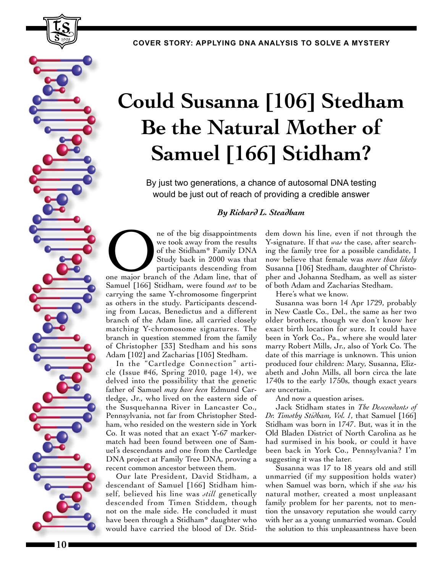**COVER STORY: APPLYING DNA ANALYSIS TO SOLVE A MYSTERY**

## **Could Susanna [106] Stedham Be the Natural Mother of Samuel [166] Stidham?**

By just two generations, a chance of autosomal DNA testing would be just out of reach of providing a credible answer

## *By Richard L. Steadham*

ne of the big disappointments<br>
we took away from the results<br>
of the Stidham<sup>\*</sup> Family DNA<br>
Study back in 2000 was that<br>
participants descending from<br>
one major branch of the Adam line, that of we took away from the results of the Stidham\* Family DNA Study back in 2000 was that participants descending from Samuel [166] Stidham, were found *not* to be carrying the same Y-chromosome fingerprint as others in the study. Participants descending from Lucas, Benedictus and a different branch of the Adam line, all carried closely matching Y-chromosome signatures. The branch in question stemmed from the family of Christopher [33] Stedham and his sons Adam [102] and Zacharias [105] Stedham.

In the "Cartledge Connection" article (Issue #46, Spring 2010, page 14), we delved into the possibility that the genetic father of Samuel *may have been* Edmund Cartledge, Jr., who lived on the eastern side of the Susquehanna River in Lancaster Co., Pennsylvania, not far from Christopher Stedham, who resided on the western side in York Co. It was noted that an exact Y-67 markermatch had been found between one of Samuel's descendants and one from the Cartledge DNA project at Family Tree DNA, proving a recent common ancestor between them.

Our late President, David Stidham, a descendant of Samuel [166] Stidham himself, believed his line was *still* genetically descended from Timen Stiddem, though not on the male side. He concluded it must have been through a Stidham\* daughter who would have carried the blood of Dr. Stiddem down his line, even if not through the Y-signature. If that *was* the case, after searching the family tree for a possible candidate, I now believe that female was *more than likely* Susanna [106] Stedham, daughter of Christopher and Johanna Stedham, as well as sister of both Adam and Zacharias Stedham.

Here's what we know.

Susanna was born 14 Apr 1729, probably in New Castle Co., Del., the same as her two older brothers, though we don't know her exact birth location for sure. It could have been in York Co., Pa., where she would later marry Robert Mills, Jr., also of York Co. The date of this marriage is unknown. This union produced four children: Mary, Susanna, Elizabeth and John Mills, all born circa the late 1740s to the early 1750s, though exact years are uncertain.

And now a question arises.

Jack Stidham states in *The Descendants of Dr. Timothy Stidham, Vol. 1*, that Samuel [166] Stidham was born in 1747. But, was it in the Old Bladen District of North Carolina as he had surmised in his book, or could it have been back in York Co., Pennsylvania? I'm suggesting it was the later.

Susanna was 17 to 18 years old and still unmarried (if my supposition holds water) when Samuel was born, which if she *was* his natural mother, created a most unpleasant family problem for her parents, not to mention the unsavory reputation she would carry with her as a young unmarried woman. Could the solution to this unpleasantness have been

1998